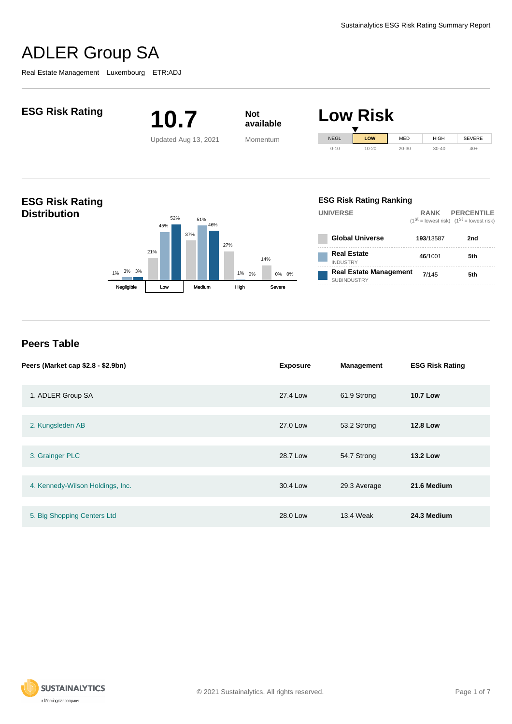Real Estate Management Luxembourg ETR:ADJ



4. Kennedy-Wilson Holdings, Inc. 30.4 Low 29.3 Average **21.6 Medium**

5. Big Shopping Centers Ltd 28.0 Low 13.4 Weak **24.3 Medium**

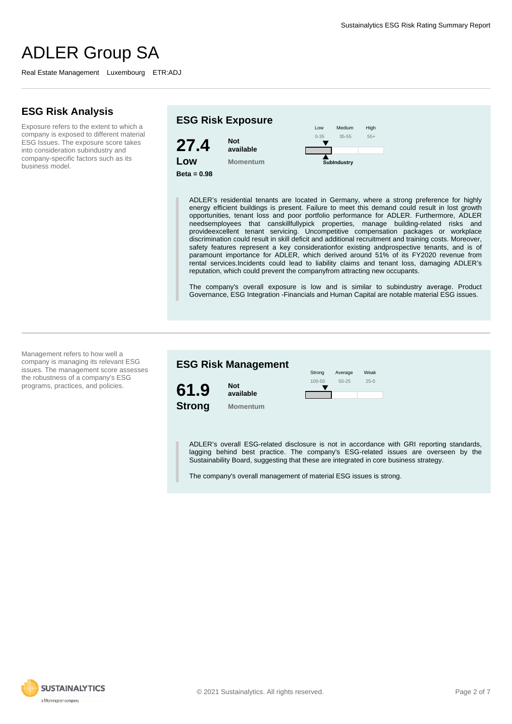# **ESG Risk Analysis**

Exposure refers to the extent to which a company is exposed to different material ESG Issues. The exposure score takes into consideration subindustry and company-specific factors such as its business model.



ADLER's residential tenants are located in Germany, where a strong preference for highly energy efficient buildings is present. Failure to meet this demand could result in lost growth opportunities, tenant loss and poor portfolio performance for ADLER. Furthermore, ADLER needsemployees that canskillfullypick properties, manage building-related risks and provideexcellent tenant servicing. Uncompetitive compensation packages or workplace discrimination could result in skill deficit and additional recruitment and training costs. Moreover, safety features represent a key considerationfor existing andprospective tenants, and is of paramount importance for ADLER, which derived around 51% of its FY2020 revenue from rental services.Incidents could lead to liability claims and tenant loss, damaging ADLER's reputation, which could prevent the companyfrom attracting new occupants.

The company's overall exposure is low and is similar to subindustry average. Product Governance, ESG Integration -Financials and Human Capital are notable material ESG issues.

Management refers to how well a company is managing its relevant ESG issues. The management score assesses the robustness of a company's ESG programs, practices, and policies.

**ESG Risk Management 61.9 Strong Not available Momentum** Weak 25-0 Average 50-25 Strong 100-50

ADLER's overall ESG-related disclosure is not in accordance with GRI reporting standards, lagging behind best practice. The company's ESG-related issues are overseen by the Sustainability Board, suggesting that these are integrated in core business strategy.

The company's overall management of material ESG issues is strong.

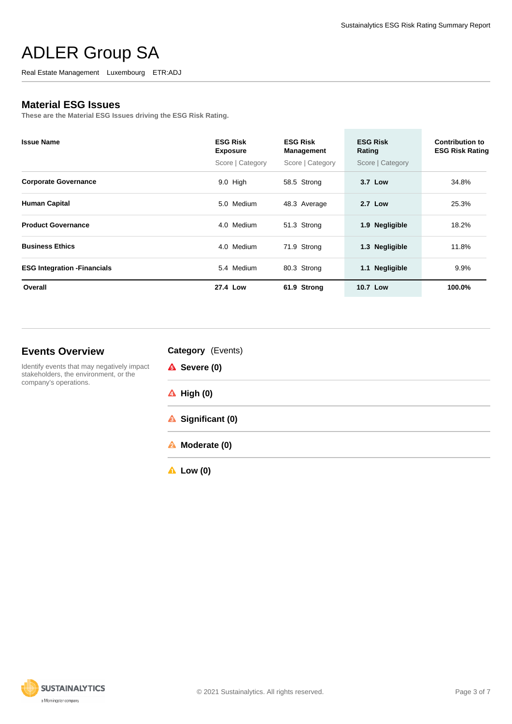Real Estate Management Luxembourg ETR:ADJ

# **Material ESG Issues**

**These are the Material ESG Issues driving the ESG Risk Rating.**

| <b>Issue Name</b>                   | <b>ESG Risk</b><br><b>Exposure</b> | <b>ESG Risk</b><br><b>Management</b> | <b>ESG Risk</b><br>Rating | <b>Contribution to</b><br><b>ESG Risk Rating</b> |
|-------------------------------------|------------------------------------|--------------------------------------|---------------------------|--------------------------------------------------|
|                                     | Score   Category                   | Score   Category                     | Score   Category          |                                                  |
| <b>Corporate Governance</b>         | $9.0$ High                         | 58.5 Strong                          | 3.7 Low                   | 34.8%                                            |
| <b>Human Capital</b>                | 5.0 Medium                         | 48.3 Average                         | <b>2.7 Low</b>            | 25.3%                                            |
| <b>Product Governance</b>           | 4.0 Medium                         | 51.3 Strong                          | 1.9 Negligible            | 18.2%                                            |
| <b>Business Ethics</b>              | 4.0 Medium                         | 71.9 Strong                          | 1.3 Negligible            | 11.8%                                            |
| <b>ESG Integration - Financials</b> | 5.4 Medium                         | 80.3 Strong                          | 1.1 Negligible            | 9.9%                                             |
| Overall                             | 27.4 Low                           | 61.9 Strong                          | 10.7 Low                  | 100.0%                                           |

# **Events Overview**

Identify events that may negatively impact stakeholders, the environment, or the company's operations.

| Category (Events) |  |
|-------------------|--|
|-------------------|--|

| <b>A</b> Severe (0)   |  |
|-----------------------|--|
| $\triangle$ High (0)  |  |
| Significant (0)       |  |
| <b>A</b> Moderate (0) |  |

**Low (0)**

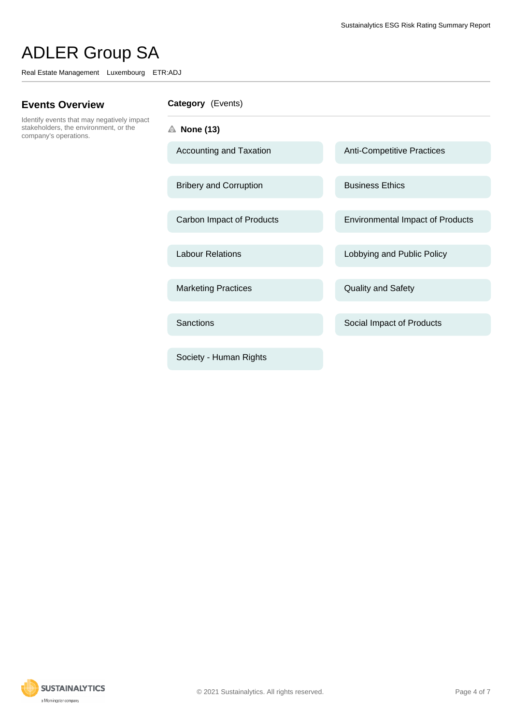Real Estate Management Luxembourg ETR:ADJ

# **Events Overview**

Identify events that may negatively impact stakeholders, the environment, or the company's operations.

## **Category** (Events)

- **None (13)**
	-
	- Bribery and Corruption Business Ethics
	-
	-
	- Marketing Practices **Contact Contact Contact Contact Contact Contact Contact Contact Contact Contact Contact Contact Contact Contact Contact Contact Contact Contact Contact Contact Contact Contact Contact Contact Contact C**
	-
	- Society Human Rights

Accounting and Taxation Anti-Competitive Practices

Carbon Impact of Products Environmental Impact of Products

Labour Relations **Labour Relations** Lobbying and Public Policy

Sanctions **Sanctions** Social Impact of Products

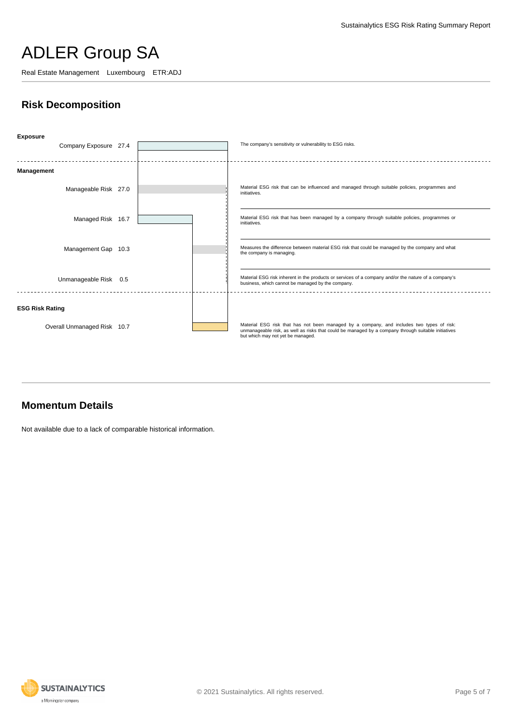Real Estate Management Luxembourg ETR:ADJ

# **Risk Decomposition**



# **Momentum Details**

Not available due to a lack of comparable historical information.

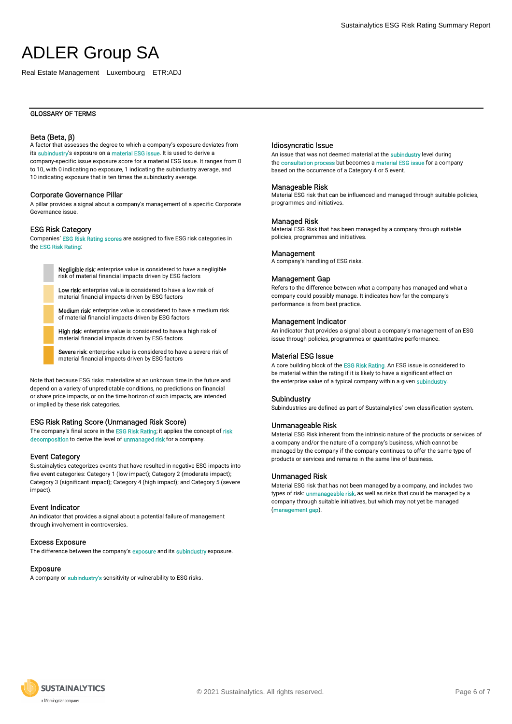Real Estate Management Luxembourg ETR:ADJ

## Beta (Beta, β)

A factor that assesses the degree to which a company's exposure deviates from its subindustry's exposure on a material ESG issue. It is used to derive a company-specific issue exposure score for a material ESG issue. It ranges from 0 to 10, with 0 indicating no exposure, 1 indicating the subindustry average, and 10 indicating exposure that is ten times the subindustry average.

### Corporate Governance Pillar

A pillar provides a signal about a company's management of a specific Corporate Governance issue.

### ESG Risk Category

Companies' ESG Risk Rating scores are assigned to five ESG risk categories in the ESG Risk Rating:

> Negligible risk: enterprise value is considered to have a negligible risk of material financial impacts driven by ESG factors

Low risk: enterprise value is considered to have a low risk of material financial impacts driven by ESG factors

Medium risk: enterprise value is considered to have a medium risk of material financial impacts driven by ESG factors

High risk: enterprise value is considered to have a high risk of material financial impacts driven by ESG factors

Severe risk: enterprise value is considered to have a severe risk of material financial impacts driven by ESG factors

Note that because ESG risks materialize at an unknown time in the future and depend on a variety of unpredictable conditions, no predictions on financial or share price impacts, or on the time horizon of such impacts, are intended or implied by these risk categories.

## ESG Risk Rating Score (Unmanaged Risk Score)

The company's final score in the ESG Risk Rating; it applies the concept of risk decomposition to derive the level of unmanaged risk for a company.

### Event Category

Sustainalytics categorizes events that have resulted in negative ESG impacts into five event categories: Category 1 (low impact); Category 2 (moderate impact); Category 3 (significant impact); Category 4 (high impact); and Category 5 (severe impact).

## Event Indicator

An indicator that provides a signal about a potential failure of management through involvement in controversies.

#### Excess Exposure

The difference between the company's exposure and its subindustry exposure.

### Exposure

A company or subindustry's sensitivity or vulnerability to ESG risks.

## Idiosyncratic Issue

An issue that was not deemed material at the subindustry level during the consultation process but becomes a material ESG issue for a company based on the occurrence of a Category 4 or 5 event.

#### Manageable Risk

Material ESG risk that can be influenced and managed through suitable policies, programmes and initiatives.

### Managed Risk

Material ESG Risk that has been managed by a company through suitable policies, programmes and initiatives.

#### **Management**

A company's handling of ESG risks.

### Management Gap

Refers to the difference between what a company has managed and what a company could possibly manage. It indicates how far the company's performance is from best practice.

#### Management Indicator

An indicator that provides a signal about a company's management of an ESG issue through policies, programmes or quantitative performance.

## Material ESG Issue

A core building block of the ESG Risk Rating. An ESG issue is considered to be material within the rating if it is likely to have a significant effect on the enterprise value of a typical company within a given subindustry.

#### Subindustry

Subindustries are defined as part of Sustainalytics' own classification system.

#### Unmanageable Risk

Material ESG Risk inherent from the intrinsic nature of the products or services of a company and/or the nature of a company's business, which cannot be managed by the company if the company continues to offer the same type of products or services and remains in the same line of business.

#### Unmanaged Risk

Material ESG risk that has not been managed by a company, and includes two types of risk: **unmanageable risk**, as well as risks that could be managed by a company through suitable initiatives, but which may not yet be managed (management gap).